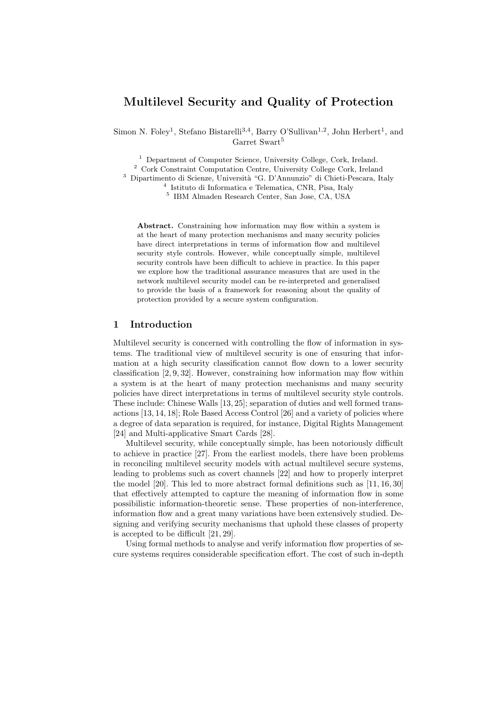# Multilevel Security and Quality of Protection

Simon N. Foley<sup>1</sup>, Stefano Bistarelli<sup>3,4</sup>, Barry O'Sullivan<sup>1,2</sup>, John Herbert<sup>1</sup>, and Garret Swart<sup>5</sup>

<sup>1</sup> Department of Computer Science, University College, Cork, Ireland.

<sup>2</sup> Cork Constraint Computation Centre, University College Cork, Ireland

<sup>3</sup> Dipartimento di Scienze, Università "G. D'Annunzio" di Chieti-Pescara, Italy

4 Istituto di Informatica e Telematica, CNR, Pisa, Italy

5 IBM Almaden Research Center, San Jose, CA, USA

Abstract. Constraining how information may flow within a system is at the heart of many protection mechanisms and many security policies have direct interpretations in terms of information flow and multilevel security style controls. However, while conceptually simple, multilevel security controls have been difficult to achieve in practice. In this paper we explore how the traditional assurance measures that are used in the network multilevel security model can be re-interpreted and generalised to provide the basis of a framework for reasoning about the quality of protection provided by a secure system configuration.

#### 1 Introduction

Multilevel security is concerned with controlling the flow of information in systems. The traditional view of multilevel security is one of ensuring that information at a high security classification cannot flow down to a lower security classification [2, 9, 32]. However, constraining how information may flow within a system is at the heart of many protection mechanisms and many security policies have direct interpretations in terms of multilevel security style controls. These include: Chinese Walls [13, 25]; separation of duties and well formed transactions [13, 14, 18]; Role Based Access Control [26] and a variety of policies where a degree of data separation is required, for instance, Digital Rights Management [24] and Multi-applicative Smart Cards [28].

Multilevel security, while conceptually simple, has been notoriously difficult to achieve in practice [27]. From the earliest models, there have been problems in reconciling multilevel security models with actual multilevel secure systems, leading to problems such as covert channels [22] and how to properly interpret the model [20]. This led to more abstract formal definitions such as [11, 16, 30] that effectively attempted to capture the meaning of information flow in some possibilistic information-theoretic sense. These properties of non-interference, information flow and a great many variations have been extensively studied. Designing and verifying security mechanisms that uphold these classes of property is accepted to be difficult [21, 29].

Using formal methods to analyse and verify information flow properties of secure systems requires considerable specification effort. The cost of such in-depth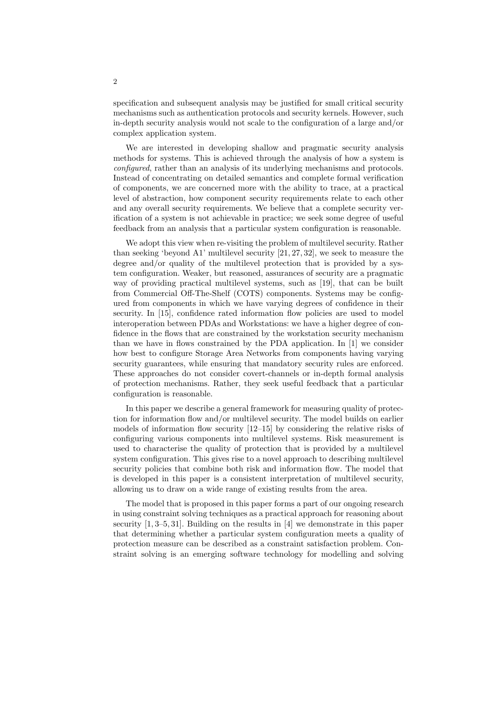specification and subsequent analysis may be justified for small critical security mechanisms such as authentication protocols and security kernels. However, such in-depth security analysis would not scale to the configuration of a large and/or complex application system.

We are interested in developing shallow and pragmatic security analysis methods for systems. This is achieved through the analysis of how a system is configured, rather than an analysis of its underlying mechanisms and protocols. Instead of concentrating on detailed semantics and complete formal verification of components, we are concerned more with the ability to trace, at a practical level of abstraction, how component security requirements relate to each other and any overall security requirements. We believe that a complete security verification of a system is not achievable in practice; we seek some degree of useful feedback from an analysis that a particular system configuration is reasonable.

We adopt this view when re-visiting the problem of multilevel security. Rather than seeking 'beyond A1' multilevel security [21, 27, 32], we seek to measure the degree and/or quality of the multilevel protection that is provided by a system configuration. Weaker, but reasoned, assurances of security are a pragmatic way of providing practical multilevel systems, such as [19], that can be built from Commercial Off-The-Shelf (COTS) components. Systems may be configured from components in which we have varying degrees of confidence in their security. In [15], confidence rated information flow policies are used to model interoperation between PDAs and Workstations: we have a higher degree of confidence in the flows that are constrained by the workstation security mechanism than we have in flows constrained by the PDA application. In [1] we consider how best to configure Storage Area Networks from components having varying security guarantees, while ensuring that mandatory security rules are enforced. These approaches do not consider covert-channels or in-depth formal analysis of protection mechanisms. Rather, they seek useful feedback that a particular configuration is reasonable.

In this paper we describe a general framework for measuring quality of protection for information flow and/or multilevel security. The model builds on earlier models of information flow security [12–15] by considering the relative risks of configuring various components into multilevel systems. Risk measurement is used to characterise the quality of protection that is provided by a multilevel system configuration. This gives rise to a novel approach to describing multilevel security policies that combine both risk and information flow. The model that is developed in this paper is a consistent interpretation of multilevel security, allowing us to draw on a wide range of existing results from the area.

The model that is proposed in this paper forms a part of our ongoing research in using constraint solving techniques as a practical approach for reasoning about security [1, 3–5, 31]. Building on the results in [4] we demonstrate in this paper that determining whether a particular system configuration meets a quality of protection measure can be described as a constraint satisfaction problem. Constraint solving is an emerging software technology for modelling and solving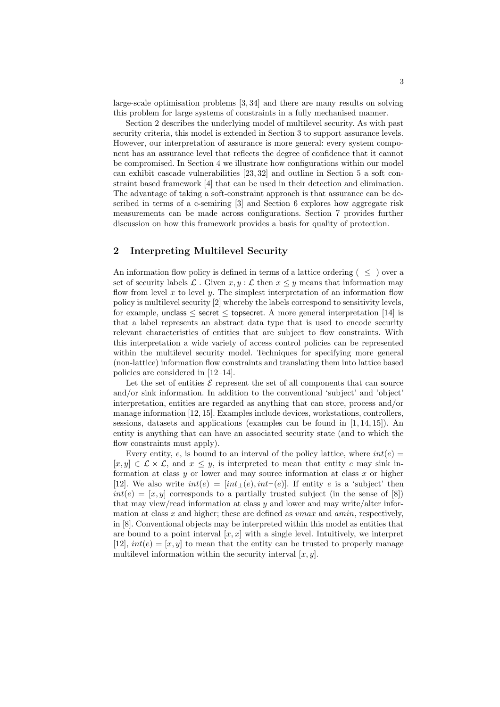large-scale optimisation problems [3, 34] and there are many results on solving this problem for large systems of constraints in a fully mechanised manner.

Section 2 describes the underlying model of multilevel security. As with past security criteria, this model is extended in Section 3 to support assurance levels. However, our interpretation of assurance is more general: every system component has an assurance level that reflects the degree of confidence that it cannot be compromised. In Section 4 we illustrate how configurations within our model can exhibit cascade vulnerabilities [23, 32] and outline in Section 5 a soft constraint based framework [4] that can be used in their detection and elimination. The advantage of taking a soft-constraint approach is that assurance can be described in terms of a c-semiring [3] and Section 6 explores how aggregate risk measurements can be made across configurations. Section 7 provides further discussion on how this framework provides a basis for quality of protection.

# 2 Interpreting Multilevel Security

An information flow policy is defined in terms of a lattice ordering  $( \leq )$  over a set of security labels L. Given  $x, y : \mathcal{L}$  then  $x \leq y$  means that information may flow from level x to level y. The simplest interpretation of an information flow policy is multilevel security [2] whereby the labels correspond to sensitivity levels, for example, unclass  $\le$  secret  $\le$  topsecret. A more general interpretation [14] is that a label represents an abstract data type that is used to encode security relevant characteristics of entities that are subject to flow constraints. With this interpretation a wide variety of access control policies can be represented within the multilevel security model. Techniques for specifying more general (non-lattice) information flow constraints and translating them into lattice based policies are considered in [12–14].

Let the set of entities  $\mathcal E$  represent the set of all components that can source and/or sink information. In addition to the conventional 'subject' and 'object' interpretation, entities are regarded as anything that can store, process and/or manage information [12, 15]. Examples include devices, workstations, controllers, sessions, datasets and applications (examples can be found in [1, 14, 15]). An entity is anything that can have an associated security state (and to which the flow constraints must apply).

Every entity, e, is bound to an interval of the policy lattice, where  $int(e)$  $[x, y] \in \mathcal{L} \times \mathcal{L}$ , and  $x \leq y$ , is interpreted to mean that entity e may sink information at class  $y$  or lower and may source information at class  $x$  or higher [12]. We also write  $int(e) = [int_{\perp}(e), int_{\perp}(e)]$ . If entity e is a 'subject' then  $int(e) = [x, y]$  corresponds to a partially trusted subject (in the sense of [8]) that may view/read information at class  $y$  and lower and may write/alter information at class x and higher; these are defined as  $vmax$  and  $amin$ , respectively, in [8]. Conventional objects may be interpreted within this model as entities that are bound to a point interval  $[x, x]$  with a single level. Intuitively, we interpret [12],  $int(e) = [x, y]$  to mean that the entity can be trusted to properly manage multilevel information within the security interval  $[x, y]$ .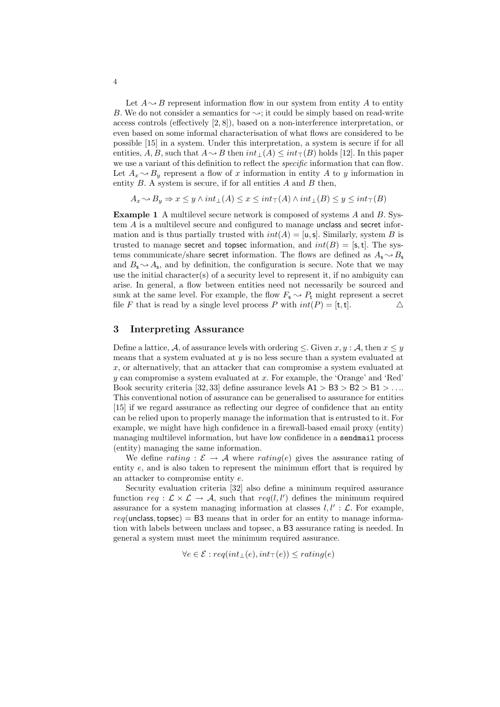Let  $A \rightarrow B$  represent information flow in our system from entity A to entity B. We do not consider a semantics for  $\rightarrow$ ; it could be simply based on read-write access controls (effectively [2, 8]), based on a non-interference interpretation, or even based on some informal characterisation of what flows are considered to be possible [15] in a system. Under this interpretation, a system is secure if for all entities, A, B, such that  $A \rightarrow B$  then  $int_{\perp}(A) \leq int_{\top}(B)$  holds [12]. In this paper we use a variant of this definition to reflect the specific information that can flow. Let  $A_x \sim B_y$  represent a flow of x information in entity A to y information in entity  $B$ . A system is secure, if for all entities  $A$  and  $B$  then,

 $A_x \rightarrow B_y \Rightarrow x \leq y \wedge int_{\perp}(A) \leq x \leq int_{\perp}(A) \wedge int_{\perp}(B) \leq y \leq int_{\perp}(B)$ 

Example 1 A multilevel secure network is composed of systems A and B. System A is a multilevel secure and configured to manage unclass and secret information and is thus partially trusted with  $int(A) = [\mathsf{u}, \mathsf{s}]$ . Similarly, system B is trusted to manage secret and topsec information, and  $int(B) = [s, t]$ . The systems communicate/share secret information. The flows are defined as  $A_s \rightarrow B_s$ and  $B_s \sim A_s$ , and by definition, the configuration is secure. Note that we may use the initial character(s) of a security level to represent it, if no ambiguity can arise. In general, a flow between entities need not necessarily be sourced and sunk at the same level. For example, the flow  $F_s \sim P_t$  might represent a secret file F that is read by a single level process P with  $int(P) = [\mathsf{t}, \mathsf{t}]$ .  $\triangle$ 

## 3 Interpreting Assurance

Define a lattice, A, of assurance levels with ordering  $\leq$ . Given  $x, y : A$ , then  $x \leq y$ means that a system evaluated at  $y$  is no less secure than a system evaluated at x, or alternatively, that an attacker that can compromise a system evaluated at  $y$  can compromise a system evaluated at  $x$ . For example, the 'Orange' and 'Red' Book security criteria [32, 33] define assurance levels  $A1 > B3 > B2 > B1 > ...$ This conventional notion of assurance can be generalised to assurance for entities [15] if we regard assurance as reflecting our degree of confidence that an entity can be relied upon to properly manage the information that is entrusted to it. For example, we might have high confidence in a firewall-based email proxy (entity) managing multilevel information, but have low confidence in a sendmail process (entity) managing the same information.

We define rating :  $\mathcal{E} \rightarrow \mathcal{A}$  where rating(e) gives the assurance rating of entity e, and is also taken to represent the minimum effort that is required by an attacker to compromise entity e.

Security evaluation criteria [32] also define a minimum required assurance function  $req: \mathcal{L} \times \mathcal{L} \rightarrow \mathcal{A}$ , such that  $req(l, l')$  defines the minimum required assurance for a system managing information at classes  $l, l' : \mathcal{L}$ . For example,  $req(\text{unclass}, \text{topsec}) = B3$  means that in order for an entity to manage information with labels between unclass and topsec, a B3 assurance rating is needed. In general a system must meet the minimum required assurance.

$$
\forall e \in \mathcal{E} : \text{req}(int_{\perp}(e), int_{\top}(e)) \leq \text{rating}(e)
$$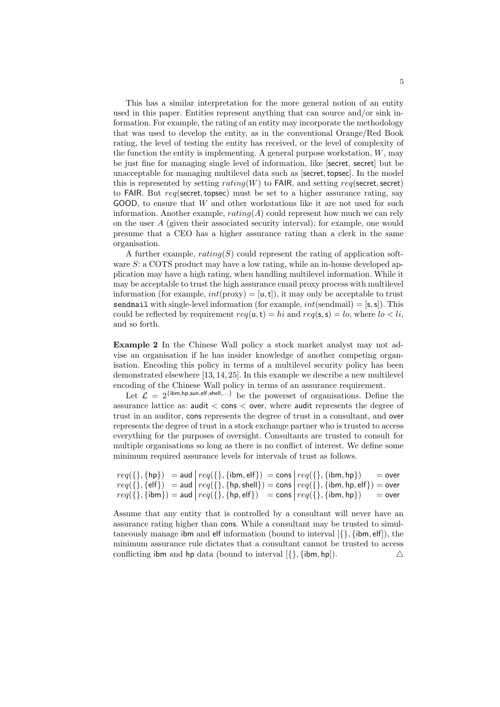This has a similar interpretation for the more general notion of an entity used in this paper. Entities represent anything that can source and/or sink information. For example, the rating of an entity may incorporate the methodology that was used to develop the entity, as in the conventional Orange/Red Book rating, the level of testing the entity has received, or the level of complexity of the function the entity is implementing. A general purpose workstation,  $W$ , may be just fine for managing single level of information, like [secret, secret] but be unacceptable for managing multilevel data such as [secret,topsec]. In the model this is represented by setting  $rating(W)$  to FAIR, and setting req(secret, secret) to FAIR. But  $req(\text{secret}, \text{topsec})$  must be set to a higher assurance rating, say GOOD, to ensure that W and other workstations like it are not used for such information. Another example,  $rating(A)$  could represent how much we can rely on the user A (given their associated security interval); for example, one would presume that a CEO has a higher assurance rating than a clerk in the same organisation.

A further example,  $rating(S)$  could represent the rating of application software S: a COTS product may have a low rating, while an in-house developed application may have a high rating, when handling multilevel information. While it may be acceptable to trust the high assurance email proxy process with multilevel information (for example,  $int(\text{proxy}) = [u, t]$ ), it may only be acceptable to trust sendmail with single-level information (for example,  $int(\text{sendmail}) = [\text{s}, \text{s}]$ ). This could be reflected by requirement  $req(u, t) = hi$  and  $req(s, s) = lo$ , where  $lo < li$ , and so forth.

Example 2 In the Chinese Wall policy a stock market analyst may not advise an organisation if he has insider knowledge of another competing organisation. Encoding this policy in terms of a multilevel security policy has been demonstrated elsewhere [13, 14, 25]. In this example we describe a new multilevel encoding of the Chinese Wall policy in terms of an assurance requirement.

Let  $\mathcal{L} = 2^{\{\text{ibm}, \text{hp}, \text{sun}, \text{elf}, \text{shell}, \dots\}}$  be the powerset of organisations. Define the assurance lattice as:  $a$ udit  $\langle$  cons  $\langle$  over, where  $a$ udit represents the degree of trust in an auditor, cons represents the degree of trust in a consultant, and over represents the degree of trust in a stock exchange partner who is trusted to access everything for the purposes of oversight. Consultants are trusted to consult for multiple organisations so long as there is no conflict of interest. We define some minimum required assurance levels for intervals of trust as follows.

|  |  | $req({}, \{hp\}) = \text{aud}  req({}, \{ibm, \text{elf}\}) = \text{cons}  req({}, \{ibm, hp\})$                             | $=$ over |
|--|--|------------------------------------------------------------------------------------------------------------------------------|----------|
|  |  | $req({}, \{elf\}) = \text{aud}  req({}, \{hp, shell\}) = \text{cons}  req({}, \{ibm, hp, elf\}) = \text{over}$               |          |
|  |  | $req({}, \{\text{ibm}\}) = \text{aud}  req({}, \{\text{hp}, \text{elf}\}) = \text{cons}  req({}, \{\text{ibm}, \text{hp}\})$ | $=$ over |

Assume that any entity that is controlled by a consultant will never have an assurance rating higher than cons. While a consultant may be trusted to simultaneously manage ibm and elf information (bound to interval  $\{\},\{\text{ibm},\text{elf}\},\}$ ), the minimum assurance rule dictates that a consultant cannot be trusted to access conflicting ibm and hp data (bound to interval  $\{\},\{\text{ibm},\text{hp}\}\)$ .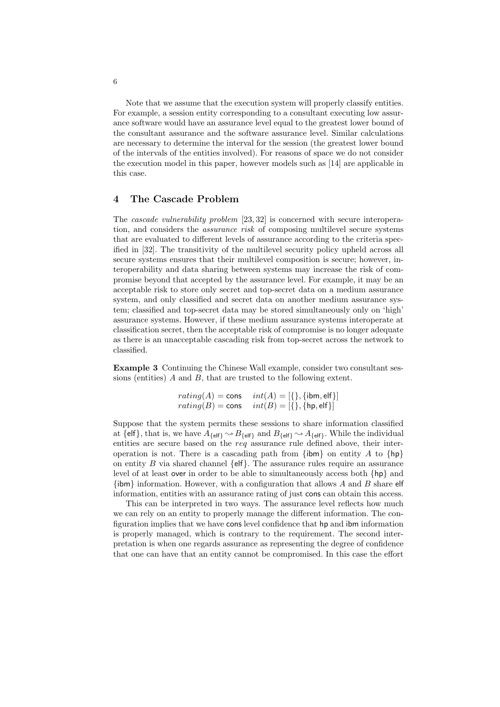Note that we assume that the execution system will properly classify entities. For example, a session entity corresponding to a consultant executing low assurance software would have an assurance level equal to the greatest lower bound of the consultant assurance and the software assurance level. Similar calculations are necessary to determine the interval for the session (the greatest lower bound of the intervals of the entities involved). For reasons of space we do not consider the execution model in this paper, however models such as [14] are applicable in this case.

#### 4 The Cascade Problem

The cascade vulnerability problem [23, 32] is concerned with secure interoperation, and considers the *assurance risk* of composing multilevel secure systems that are evaluated to different levels of assurance according to the criteria specified in [32]. The transitivity of the multilevel security policy upheld across all secure systems ensures that their multilevel composition is secure; however, interoperability and data sharing between systems may increase the risk of compromise beyond that accepted by the assurance level. For example, it may be an acceptable risk to store only secret and top-secret data on a medium assurance system, and only classified and secret data on another medium assurance system; classified and top-secret data may be stored simultaneously only on 'high' assurance systems. However, if these medium assurance systems interoperate at classification secret, then the acceptable risk of compromise is no longer adequate as there is an unacceptable cascading risk from top-secret across the network to classified.

Example 3 Continuing the Chinese Wall example, consider two consultant sessions (entities)  $A$  and  $B$ , that are trusted to the following extent.

> $rating(A) = cons \quad int(A) = [\{\}, \{\text{ibm}, \text{elf}\}]$  $rating(B) = cons$   $int(B) = [{}, {\uparrow}, {\uparrow}, {\uparrow}]$

Suppose that the system permits these sessions to share information classified at {elf}, that is, we have  $A_{\{\text{eff}\}} \sim B_{\{\text{eff}\}}$  and  $B_{\{\text{eff}\}} \sim A_{\{\text{eff}\}}$ . While the individual entities are secure based on the req assurance rule defined above, their interoperation is not. There is a cascading path from  $\{\mathsf{ibm}\}\$  on entity A to  $\{\mathsf{hp}\}\$ on entity  $B$  via shared channel  $\{\text{elf}\}\$ . The assurance rules require an assurance level of at least over in order to be able to simultaneously access both {hp} and  ${\{\text{ibm}\}}$  information. However, with a configuration that allows A and B share elf information, entities with an assurance rating of just cons can obtain this access.

This can be interpreted in two ways. The assurance level reflects how much we can rely on an entity to properly manage the different information. The configuration implies that we have cons level confidence that hp and ibm information is properly managed, which is contrary to the requirement. The second interpretation is when one regards assurance as representing the degree of confidence that one can have that an entity cannot be compromised. In this case the effort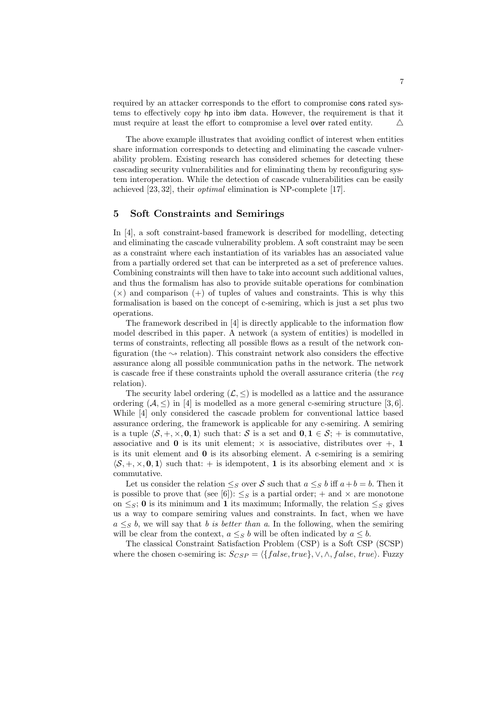required by an attacker corresponds to the effort to compromise cons rated systems to effectively copy hp into ibm data. However, the requirement is that it must require at least the effort to compromise a level over rated entity.  $\Delta$ 

The above example illustrates that avoiding conflict of interest when entities share information corresponds to detecting and eliminating the cascade vulnerability problem. Existing research has considered schemes for detecting these cascading security vulnerabilities and for eliminating them by reconfiguring system interoperation. While the detection of cascade vulnerabilities can be easily achieved [23, 32], their optimal elimination is NP-complete [17].

### 5 Soft Constraints and Semirings

In [4], a soft constraint-based framework is described for modelling, detecting and eliminating the cascade vulnerability problem. A soft constraint may be seen as a constraint where each instantiation of its variables has an associated value from a partially ordered set that can be interpreted as a set of preference values. Combining constraints will then have to take into account such additional values, and thus the formalism has also to provide suitable operations for combination  $(x)$  and comparison  $(+)$  of tuples of values and constraints. This is why this formalisation is based on the concept of c-semiring, which is just a set plus two operations.

The framework described in [4] is directly applicable to the information flow model described in this paper. A network (a system of entities) is modelled in terms of constraints, reflecting all possible flows as a result of the network configuration (the  $\sim$  relation). This constraint network also considers the effective assurance along all possible communication paths in the network. The network is cascade free if these constraints uphold the overall assurance criteria (the req relation).

The security label ordering  $(\mathcal{L}, \leq)$  is modelled as a lattice and the assurance ordering  $(A, \leq)$  in [4] is modelled as a more general c-semiring structure [3, 6]. While [4] only considered the cascade problem for conventional lattice based assurance ordering, the framework is applicable for any c-semiring. A semiring is a tuple  $\langle \mathcal{S}, +, \times, \mathbf{0}, \mathbf{1} \rangle$  such that: S is a set and  $\mathbf{0}, \mathbf{1} \in \mathcal{S}; +$  is commutative, associative and **0** is its unit element;  $\times$  is associative, distributes over  $+$ , **1** is its unit element and 0 is its absorbing element. A c-semiring is a semiring  $\langle S, +, \times, \mathbf{0}, \mathbf{1} \rangle$  such that: + is idempotent, 1 is its absorbing element and  $\times$  is commutative.

Let us consider the relation  $\leq_S$  over S such that  $a \leq_S b$  iff  $a+b=b$ . Then it is possible to prove that (see [6]):  $\leq_S$  is a partial order; + and  $\times$  are monotone on  $\leq_S$ ; 0 is its minimum and 1 its maximum; Informally, the relation  $\leq_S$  gives us a way to compare semiring values and constraints. In fact, when we have  $a \leq_S b$ , we will say that b is better than a. In the following, when the semiring will be clear from the context,  $a \leq_S b$  will be often indicated by  $a \leq b$ .

The classical Constraint Satisfaction Problem (CSP) is a Soft CSP (SCSP) where the chosen c-semiring is:  $S_{CSP} = \langle \{false, true\}, \vee, \wedge, false, true \rangle$ . Fuzzy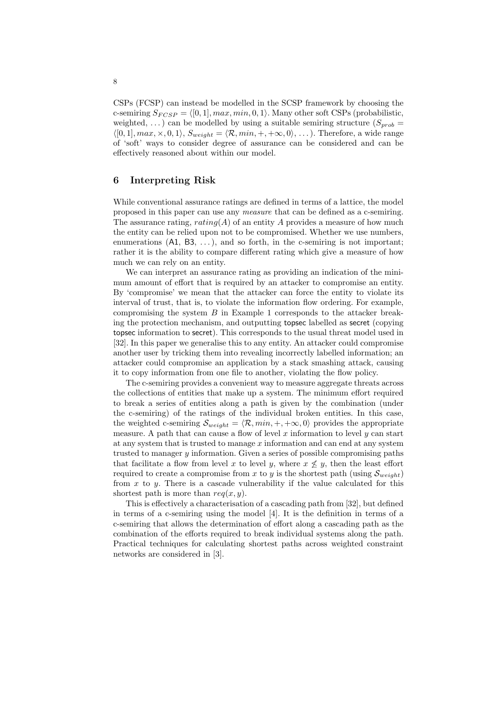CSPs (FCSP) can instead be modelled in the SCSP framework by choosing the c-semiring  $S_{FCSP} = \langle [0, 1], max, min, 0, 1 \rangle$ . Many other soft CSPs (probabilistic, weighted, ...) can be modelled by using a suitable semiring structure  $(S_{prob} =$  $\langle [0, 1], \max, \times, 0, 1 \rangle$ ,  $S_{weight} = \langle \mathcal{R}, \min, +, +\infty, 0 \rangle$ , ...). Therefore, a wide range of 'soft' ways to consider degree of assurance can be considered and can be effectively reasoned about within our model.

# 6 Interpreting Risk

While conventional assurance ratings are defined in terms of a lattice, the model proposed in this paper can use any measure that can be defined as a c-semiring. The assurance rating,  $rating(A)$  of an entity  $A$  provides a measure of how much the entity can be relied upon not to be compromised. Whether we use numbers, enumerations  $(A1, B3, \ldots)$ , and so forth, in the c-semiring is not important; rather it is the ability to compare different rating which give a measure of how much we can rely on an entity.

We can interpret an assurance rating as providing an indication of the minimum amount of effort that is required by an attacker to compromise an entity. By 'compromise' we mean that the attacker can force the entity to violate its interval of trust, that is, to violate the information flow ordering. For example, compromising the system  $B$  in Example 1 corresponds to the attacker breaking the protection mechanism, and outputting topsec labelled as secret (copying topsec information to secret). This corresponds to the usual threat model used in [32]. In this paper we generalise this to any entity. An attacker could compromise another user by tricking them into revealing incorrectly labelled information; an attacker could compromise an application by a stack smashing attack, causing it to copy information from one file to another, violating the flow policy.

The c-semiring provides a convenient way to measure aggregate threats across the collections of entities that make up a system. The minimum effort required to break a series of entities along a path is given by the combination (under the c-semiring) of the ratings of the individual broken entities. In this case, the weighted c-semiring  $\mathcal{S}_{weight} = \langle \mathcal{R}, min, +, +\infty, 0 \rangle$  provides the appropriate measure. A path that can cause a flow of level x information to level y can start at any system that is trusted to manage  $x$  information and can end at any system trusted to manager y information. Given a series of possible compromising paths that facilitate a flow from level x to level y, where  $x \not\leq y$ , then the least effort required to create a compromise from x to y is the shortest path (using  $\mathcal{S}_{weight}$ ) from x to y. There is a cascade vulnerability if the value calculated for this shortest path is more than  $req(x, y)$ .

This is effectively a characterisation of a cascading path from [32], but defined in terms of a c-semiring using the model [4]. It is the definition in terms of a c-semiring that allows the determination of effort along a cascading path as the combination of the efforts required to break individual systems along the path. Practical techniques for calculating shortest paths across weighted constraint networks are considered in [3].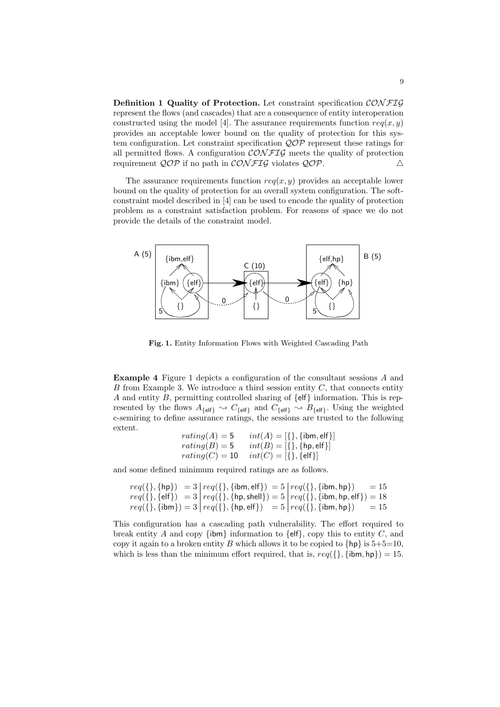**Definition 1 Quality of Protection.** Let constraint specification  $\mathcal{CONFIG}$ represent the flows (and cascades) that are a consequence of entity interoperation constructed using the model [4]. The assurance requirements function  $req(x, y)$ provides an acceptable lower bound on the quality of protection for this system configuration. Let constraint specification  $\mathcal{QOP}$  represent these ratings for all permitted flows. A configuration  $\mathcal{CONFIG}$  meets the quality of protection requirement  $QOP$  if no path in  $CONFIG$  violates  $QOP$ .

The assurance requirements function  $req(x, y)$  provides an acceptable lower bound on the quality of protection for an overall system configuration. The softconstraint model described in [4] can be used to encode the quality of protection problem as a constraint satisfaction problem. For reasons of space we do not provide the details of the constraint model.



Fig. 1. Entity Information Flows with Weighted Cascading Path

Example 4 Figure 1 depicts a configuration of the consultant sessions A and  $B$  from Example 3. We introduce a third session entity  $C$ , that connects entity A and entity B, permitting controlled sharing of  $\{\text{elf}\}$  information. This is represented by the flows  $A_{\{\text{elf}\}} \sim C_{\{\text{elf}\}}$  and  $C_{\{\text{elf}\}} \sim B_{\{\text{elf}\}}$ . Using the weighted c-semiring to define assurance ratings, the sessions are trusted to the following extent.

$$
rating(A) = 5 \quad int(A) = [{}, \{ibm, \text{elf}\}]
$$

$$
rating(B) = 5 \quad int(B) = [{}, \{bp, \text{elf}\}]
$$

$$
rating(C) = 10 \quad int(C) = [{}, \{\text{elf}\}]
$$

and some defined minimum required ratings are as follows.

$$
req({}, \{hp\}) = 3 \mid req({}, \{ibm, \text{elf}\}) = 5 \mid req({}, \{ibm, \text{hp}\}) = 15
$$
\n
$$
req({}, \{elf\}) = 3 \mid req({}, \{hp, \text{shell}\}) = 5 \mid req({}, \{ibm, \text{hp}, \text{elf}\}) = 18
$$
\n
$$
req({}, \{ibm\}) = 3 \mid req({}, \{hp, \text{elf}\}) = 5 \mid req({}, \{ibm, \text{hp}\}) = 15
$$

This configuration has a cascading path vulnerability. The effort required to break entity A and copy  $\{\mathsf{ibm}\}$  information to  $\{\mathsf{elf}\},\text{copy this to entity } C$ , and copy it again to a broken entity B which allows it to be copied to  $\{hp\}$  is  $5+5=10$ , which is less than the minimum effort required, that is,  $req({}, \{\text{ibm}, \text{hp}\}) = 15$ .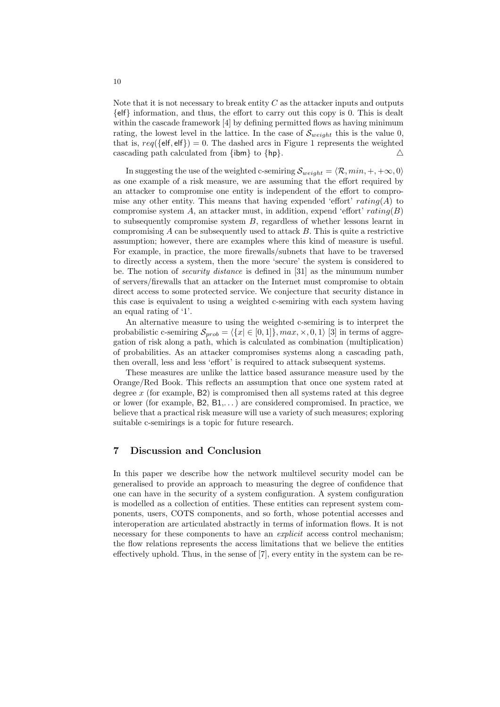Note that it is not necessary to break entity  $C$  as the attacker inputs and outputs {elf} information, and thus, the effort to carry out this copy is 0. This is dealt within the cascade framework [4] by defining permitted flows as having minimum rating, the lowest level in the lattice. In the case of  $\mathcal{S}_{weight}$  this is the value 0, that is,  $req({\text{elf, elf}}) = 0$ . The dashed arcs in Figure 1 represents the weighted cascading path calculated from  $\{\mathsf{ibm}\}\$  to  $\{\mathsf{hp}\}\$ .

In suggesting the use of the weighted c-semiring  $\mathcal{S}_{weight} = \langle \mathcal{R}, min, +, +\infty, 0 \rangle$ as one example of a risk measure, we are assuming that the effort required by an attacker to compromise one entity is independent of the effort to compromise any other entity. This means that having expended 'effort'  $rating(A)$  to compromise system A, an attacker must, in addition, expend 'effort'  $rating(B)$ to subsequently compromise system B, regardless of whether lessons learnt in compromising  $A$  can be subsequently used to attack  $B$ . This is quite a restrictive assumption; however, there are examples where this kind of measure is useful. For example, in practice, the more firewalls/subnets that have to be traversed to directly access a system, then the more 'secure' the system is considered to be. The notion of *security distance* is defined in [31] as the minumum number of servers/firewalls that an attacker on the Internet must compromise to obtain direct access to some protected service. We conjecture that security distance in this case is equivalent to using a weighted c-semiring with each system having an equal rating of '1'.

An alternative measure to using the weighted c-semiring is to interpret the probabilistic c-semiring  $\mathcal{S}_{prob} = \langle \{x | \in [0, 1]\}, max, \times, 0, 1\rangle$  [3] in terms of aggregation of risk along a path, which is calculated as combination (multiplication) of probabilities. As an attacker compromises systems along a cascading path, then overall, less and less 'effort' is required to attack subsequent systems.

These measures are unlike the lattice based assurance measure used by the Orange/Red Book. This reflects an assumption that once one system rated at degree  $x$  (for example,  $B2$ ) is compromised then all systems rated at this degree or lower (for example,  $B2, B1, \ldots$ ) are considered compromised. In practice, we believe that a practical risk measure will use a variety of such measures; exploring suitable c-semirings is a topic for future research.

# 7 Discussion and Conclusion

In this paper we describe how the network multilevel security model can be generalised to provide an approach to measuring the degree of confidence that one can have in the security of a system configuration. A system configuration is modelled as a collection of entities. These entities can represent system components, users, COTS components, and so forth, whose potential accesses and interoperation are articulated abstractly in terms of information flows. It is not necessary for these components to have an *explicit* access control mechanism; the flow relations represents the access limitations that we believe the entities effectively uphold. Thus, in the sense of [7], every entity in the system can be re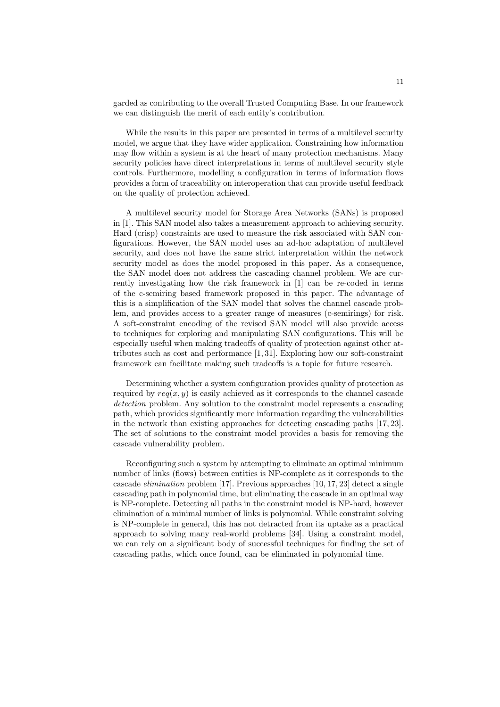garded as contributing to the overall Trusted Computing Base. In our framework we can distinguish the merit of each entity's contribution.

While the results in this paper are presented in terms of a multilevel security model, we argue that they have wider application. Constraining how information may flow within a system is at the heart of many protection mechanisms. Many security policies have direct interpretations in terms of multilevel security style controls. Furthermore, modelling a configuration in terms of information flows provides a form of traceability on interoperation that can provide useful feedback on the quality of protection achieved.

A multilevel security model for Storage Area Networks (SANs) is proposed in [1]. This SAN model also takes a measurement approach to achieving security. Hard (crisp) constraints are used to measure the risk associated with SAN configurations. However, the SAN model uses an ad-hoc adaptation of multilevel security, and does not have the same strict interpretation within the network security model as does the model proposed in this paper. As a consequence, the SAN model does not address the cascading channel problem. We are currently investigating how the risk framework in [1] can be re-coded in terms of the c-semiring based framework proposed in this paper. The advantage of this is a simplification of the SAN model that solves the channel cascade problem, and provides access to a greater range of measures (c-semirings) for risk. A soft-constraint encoding of the revised SAN model will also provide access to techniques for exploring and manipulating SAN configurations. This will be especially useful when making tradeoffs of quality of protection against other attributes such as cost and performance [1, 31]. Exploring how our soft-constraint framework can facilitate making such tradeoffs is a topic for future research.

Determining whether a system configuration provides quality of protection as required by  $rea(x, y)$  is easily achieved as it corresponds to the channel cascade detection problem. Any solution to the constraint model represents a cascading path, which provides significantly more information regarding the vulnerabilities in the network than existing approaches for detecting cascading paths [17, 23]. The set of solutions to the constraint model provides a basis for removing the cascade vulnerability problem.

Reconfiguring such a system by attempting to eliminate an optimal minimum number of links (flows) between entities is NP-complete as it corresponds to the cascade elimination problem [17]. Previous approaches [10, 17, 23] detect a single cascading path in polynomial time, but eliminating the cascade in an optimal way is NP-complete. Detecting all paths in the constraint model is NP-hard, however elimination of a minimal number of links is polynomial. While constraint solving is NP-complete in general, this has not detracted from its uptake as a practical approach to solving many real-world problems [34]. Using a constraint model, we can rely on a significant body of successful techniques for finding the set of cascading paths, which once found, can be eliminated in polynomial time.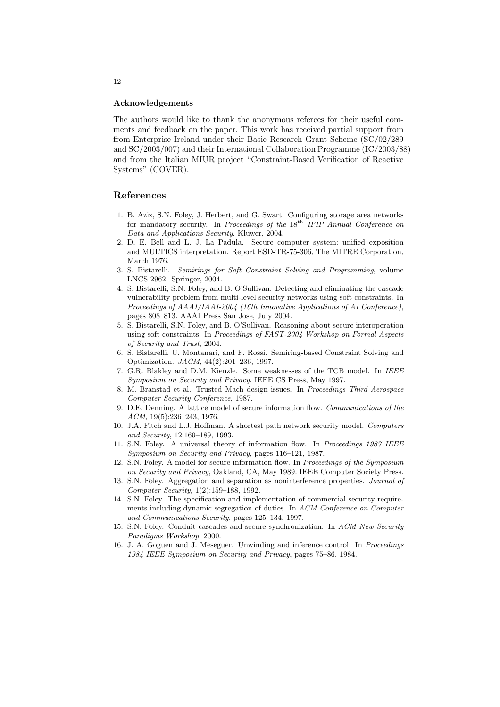#### Acknowledgements

The authors would like to thank the anonymous referees for their useful comments and feedback on the paper. This work has received partial support from from Enterprise Ireland under their Basic Research Grant Scheme (SC/02/289 and SC/2003/007) and their International Collaboration Programme (IC/2003/88) and from the Italian MIUR project "Constraint-Based Verification of Reactive Systems" (COVER).

#### References

- 1. B. Aziz, S.N. Foley, J. Herbert, and G. Swart. Configuring storage area networks for mandatory security. In Proceedings of the  $18<sup>th</sup> IFIP$  Annual Conference on Data and Applications Security. Kluwer, 2004.
- 2. D. E. Bell and L. J. La Padula. Secure computer system: unified exposition and MULTICS interpretation. Report ESD-TR-75-306, The MITRE Corporation, March 1976.
- 3. S. Bistarelli. Semirings for Soft Constraint Solving and Programming, volume LNCS 2962. Springer, 2004.
- 4. S. Bistarelli, S.N. Foley, and B. O'Sullivan. Detecting and eliminating the cascade vulnerability problem from multi-level security networks using soft constraints. In Proceedings of AAAI/IAAI-2004 (16th Innovative Applications of AI Conference), pages 808–813. AAAI Press San Jose, July 2004.
- 5. S. Bistarelli, S.N. Foley, and B. O'Sullivan. Reasoning about secure interoperation using soft constraints. In Proceedings of FAST-2004 Workshop on Formal Aspects of Security and Trust, 2004.
- 6. S. Bistarelli, U. Montanari, and F. Rossi. Semiring-based Constraint Solving and Optimization. JACM, 44(2):201–236, 1997.
- 7. G.R. Blakley and D.M. Kienzle. Some weaknesses of the TCB model. In IEEE Symposium on Security and Privacy. IEEE CS Press, May 1997.
- 8. M. Branstad et al. Trusted Mach design issues. In Proceedings Third Aerospace Computer Security Conference, 1987.
- 9. D.E. Denning. A lattice model of secure information flow. Communications of the ACM, 19(5):236–243, 1976.
- 10. J.A. Fitch and L.J. Hoffman. A shortest path network security model. Computers and Security, 12:169–189, 1993.
- 11. S.N. Foley. A universal theory of information flow. In Proceedings 1987 IEEE Symposium on Security and Privacy, pages 116–121, 1987.
- 12. S.N. Foley. A model for secure information flow. In Proceedings of the Symposium on Security and Privacy, Oakland, CA, May 1989. IEEE Computer Society Press.
- 13. S.N. Foley. Aggregation and separation as noninterference properties. Journal of Computer Security, 1(2):159–188, 1992.
- 14. S.N. Foley. The specification and implementation of commercial security requirements including dynamic segregation of duties. In ACM Conference on Computer and Communications Security, pages 125–134, 1997.
- 15. S.N. Foley. Conduit cascades and secure synchronization. In ACM New Security Paradigms Workshop, 2000.
- 16. J. A. Goguen and J. Meseguer. Unwinding and inference control. In Proceedings 1984 IEEE Symposium on Security and Privacy, pages 75–86, 1984.

12